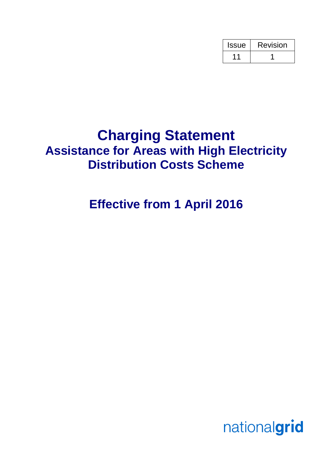| <b>Issue</b> | Revision |
|--------------|----------|
|              |          |

# **Charging Statement Assistance for Areas with High Electricity Distribution Costs Scheme**

# **Effective from 1 April 2016**

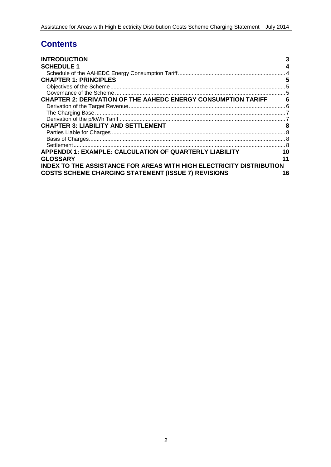# **Contents**

| <b>INTRODUCTION</b>                                                         | 3  |
|-----------------------------------------------------------------------------|----|
| <b>SCHEDULE 1</b>                                                           | 4  |
|                                                                             |    |
| <b>CHAPTER 1: PRINCIPLES</b>                                                | 5  |
|                                                                             |    |
|                                                                             |    |
| <b>CHAPTER 2: DERIVATION OF THE AAHEDC ENERGY CONSUMPTION TARIFF</b>        | 6  |
|                                                                             |    |
|                                                                             |    |
|                                                                             |    |
| <b>CHAPTER 3: LIABILITY AND SETTLEMENT</b>                                  | 8  |
|                                                                             |    |
|                                                                             |    |
|                                                                             |    |
| <b>APPENDIX 1: EXAMPLE: CALCULATION OF QUARTERLY LIABILITY</b>              | 10 |
| <b>GLOSSARY</b>                                                             | 11 |
| <b>INDEX TO THE ASSISTANCE FOR AREAS WITH HIGH ELECTRICITY DISTRIBUTION</b> |    |
| <b>COSTS SCHEME CHARGING STATEMENT (ISSUE 7) REVISIONS</b>                  | 16 |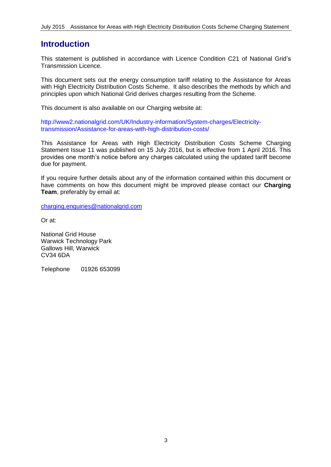### **Introduction**

This statement is published in accordance with Licence Condition C21 of National Grid's Transmission Licence.

This document sets out the energy consumption tariff relating to the Assistance for Areas with High Electricity Distribution Costs Scheme. It also describes the methods by which and principles upon which National Grid derives charges resulting from the Scheme.

This document is also available on our Charging website at:

http://www2.nationalgrid.com/UK/Industry-information/System-charges/Electricitytransmission/Assistance-for-areas-with-high-distribution-costs/

This Assistance for Areas with High Electricity Distribution Costs Scheme Charging Statement Issue 11 was published on 15 July 2016, but is effective from 1 April 2016. This provides one month's notice before any charges calculated using the updated tariff become due for payment.

If you require further details about any of the information contained within this document or have comments on how this document might be improved please contact our **Charging Team**, preferably by email at:

[charging.enquiries@nationalgrid.com](mailto:charging.enquiries@nationalgrid.com)

Or at:

National Grid House Warwick Technology Park Gallows Hill, Warwick CV34 6DA

Telephone 01926 653099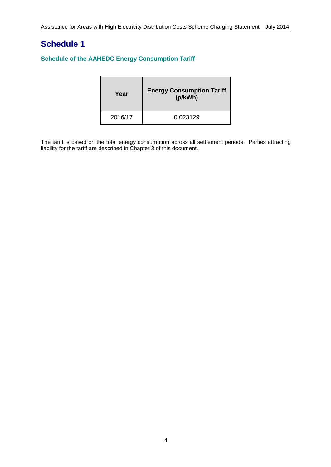# **Schedule 1**

#### **Schedule of the AAHEDC Energy Consumption Tariff**

| Year    | <b>Energy Consumption Tariff</b><br>(p/kWh) |
|---------|---------------------------------------------|
| 2016/17 | 0.023129                                    |

The tariff is based on the total energy consumption across all settlement periods. Parties attracting liability for the tariff are described in Chapter 3 of this document.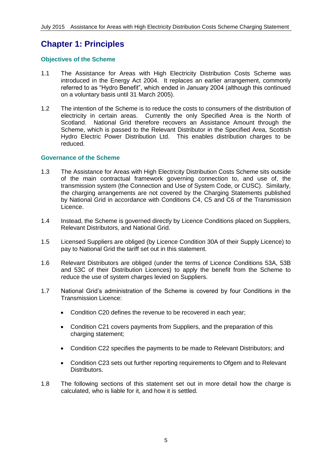# **Chapter 1: Principles**

#### **Objectives of the Scheme**

- 1.1 The Assistance for Areas with High Electricity Distribution Costs Scheme was introduced in the Energy Act 2004. It replaces an earlier arrangement, commonly referred to as "Hydro Benefit", which ended in January 2004 (although this continued on a voluntary basis until 31 March 2005).
- 1.2 The intention of the Scheme is to reduce the costs to consumers of the distribution of electricity in certain areas. Currently the only Specified Area is the North of Scotland. National Grid therefore recovers an Assistance Amount through the Scheme, which is passed to the Relevant Distributor in the Specified Area, Scottish Hydro Electric Power Distribution Ltd. This enables distribution charges to be reduced.

#### **Governance of the Scheme**

- 1.3 The Assistance for Areas with High Electricity Distribution Costs Scheme sits outside of the main contractual framework governing connection to, and use of, the transmission system (the Connection and Use of System Code, or CUSC). Similarly, the charging arrangements are not covered by the Charging Statements published by National Grid in accordance with Conditions C4, C5 and C6 of the Transmission Licence.
- 1.4 Instead, the Scheme is governed directly by Licence Conditions placed on Suppliers, Relevant Distributors, and National Grid.
- 1.5 Licensed Suppliers are obliged (by Licence Condition 30A of their Supply Licence) to pay to National Grid the tariff set out in this statement.
- 1.6 Relevant Distributors are obliged (under the terms of Licence Conditions 53A, 53B and 53C of their Distribution Licences) to apply the benefit from the Scheme to reduce the use of system charges levied on Suppliers.
- 1.7 National Grid's administration of the Scheme is covered by four Conditions in the Transmission Licence:
	- Condition C20 defines the revenue to be recovered in each year;
	- Condition C21 covers payments from Suppliers, and the preparation of this charging statement;
	- Condition C22 specifies the payments to be made to Relevant Distributors; and
	- Condition C23 sets out further reporting requirements to Ofgem and to Relevant Distributors.
- 1.8 The following sections of this statement set out in more detail how the charge is calculated, who is liable for it, and how it is settled.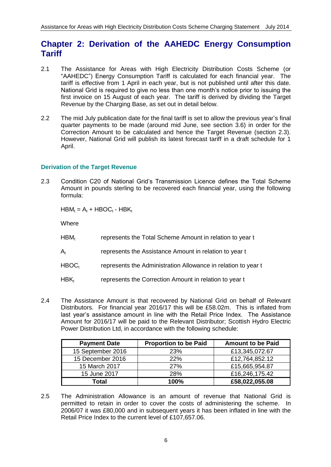### **Chapter 2: Derivation of the AAHEDC Energy Consumption Tariff**

- 2.1 The Assistance for Areas with High Electricity Distribution Costs Scheme (or "AAHEDC") Energy Consumption Tariff is calculated for each financial year. The tariff is effective from 1 April in each year, but is not published until after this date. National Grid is required to give no less than one month's notice prior to issuing the first invoice on 15 August of each year. The tariff is derived by dividing the Target Revenue by the Charging Base, as set out in detail below.
- 2.2 The mid July publication date for the final tariff is set to allow the previous year's final quarter payments to be made (around mid June, see section 3.6) in order for the Correction Amount to be calculated and hence the Target Revenue (section 2.3). However, National Grid will publish its latest forecast tariff in a draft schedule for 1 April.

#### **Derivation of the Target Revenue**

2.3 Condition C20 of National Grid's Transmission Licence defines the Total Scheme Amount in pounds sterling to be recovered each financial year, using the following formula:

 $HBM_t = A_t + HBOC_t - HBK_t$ 

Where

- $HBM_t$  represents the Total Scheme Amount in relation to year t
- $A_t$  represents the Assistance Amount in relation to year t
- $HBOC<sub>t</sub>$  represents the Administration Allowance in relation to year t
- HBK<sub>t</sub> represents the Correction Amount in relation to year t
- 2.4 The Assistance Amount is that recovered by National Grid on behalf of Relevant Distributors. For financial year 2016/17 this will be £58.02m. This is inflated from last year's assistance amount in line with the Retail Price Index. The Assistance Amount for 2016/17 will be paid to the Relevant Distributor; Scottish Hydro Electric Power Distribution Ltd, in accordance with the following schedule:

| <b>Payment Date</b> | <b>Proportion to be Paid</b> | <b>Amount to be Paid</b> |
|---------------------|------------------------------|--------------------------|
| 15 September 2016   | <b>23%</b>                   | £13,345,072.67           |
| 15 December 2016    | <b>22%</b>                   | £12,764,852.12           |
| 15 March 2017       | <b>27%</b>                   | £15,665,954.87           |
| 15 June 2017        | <b>28%</b>                   | £16,246,175.42           |
| Total               | 100%                         | £58,022,055.08           |

2.5 The Administration Allowance is an amount of revenue that National Grid is permitted to retain in order to cover the costs of administering the scheme. In 2006/07 it was £80,000 and in subsequent years it has been inflated in line with the Retail Price Index to the current level of £107,657.06.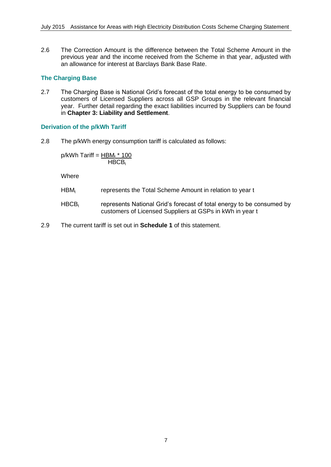2.6 The Correction Amount is the difference between the Total Scheme Amount in the previous year and the income received from the Scheme in that year, adjusted with an allowance for interest at Barclays Bank Base Rate.

#### **The Charging Base**

2.7 The Charging Base is National Grid's forecast of the total energy to be consumed by customers of Licensed Suppliers across all GSP Groups in the relevant financial year. Further detail regarding the exact liabilities incurred by Suppliers can be found in **Chapter 3: Liability and Settlement**.

#### **Derivation of the p/kWh Tariff**

2.8 The p/kWh energy consumption tariff is calculated as follows:

 $p/kWh$  Tariff =  $HBM_t * 100$  $HBCB<sub>t</sub>$ 

**Where** 

- HBM<sub>t</sub> represents the Total Scheme Amount in relation to year t
- $HBCB<sub>t</sub>$  represents National Grid's forecast of total energy to be consumed by customers of Licensed Suppliers at GSPs in kWh in year t
- 2.9 The current tariff is set out in **Schedule 1** of this statement.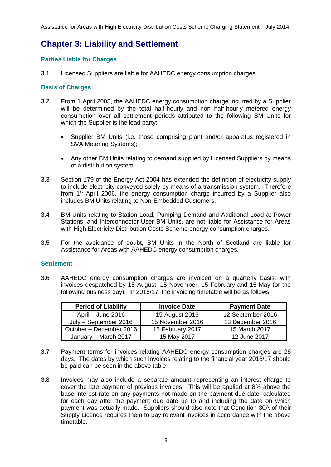# **Chapter 3: Liability and Settlement**

#### **Parties Liable for Charges**

3.1 Licensed Suppliers are liable for AAHEDC energy consumption charges.

#### **Basis of Charges**

- 3.2 From 1 April 2005, the AAHEDC energy consumption charge incurred by a Supplier will be determined by the total half-hourly and non half-hourly metered energy consumption over all settlement periods attributed to the following BM Units for which the Supplier is the lead party:
	- Supplier BM Units (i.e. those comprising plant and/or apparatus registered in SVA Metering Systems);
	- Any other BM Units relating to demand supplied by Licensed Suppliers by means of a distribution system.
- 3.3 Section 179 of the Energy Act 2004 has extended the definition of electricity supply to include electricity conveyed solely by means of a transmission system. Therefore from  $1<sup>st</sup>$  April 2006, the energy consumption charge incurred by a Supplier also includes BM Units relating to Non-Embedded Customers.
- 3.4 BM Units relating to Station Load, Pumping Demand and Additional Load at Power Stations, and Interconnector User BM Units, are not liable for Assistance for Areas with High Electricity Distribution Costs Scheme energy consumption charges.
- 3.5 For the avoidance of doubt, BM Units in the North of Scotland are liable for Assistance for Areas with AAHEDC energy consumption charges.

#### **Settlement**

3.6 AAHEDC energy consumption charges are invoiced on a quarterly basis, with invoices despatched by 15 August, 15 November, 15 February and 15 May (or the following business day). In 2016/17, the invoicing timetable will be as follows:

| <b>Period of Liability</b> | <b>Invoice Date</b> | <b>Payment Date</b> |
|----------------------------|---------------------|---------------------|
| April - June 2016          | 15 August 2016      | 12 September 2016   |
| July - September 2016      | 15 November 2016    | 13 December 2016    |
| October – December 2016    | 15 February 2017    | 15 March 2017       |
| January - March 2017       | 15 May 2017         | 12 June 2017        |

- 3.7 Payment terms for invoices relating AAHEDC energy consumption charges are 28 days. The dates by which such invoices relating to the financial year 2016/17 should be paid can be seen in the above table.
- 3.8 Invoices may also include a separate amount representing an interest charge to cover the late payment of previous invoices. This will be applied at 8% above the base interest rate on any payments not made on the payment due date, calculated for each day after the payment due date up to and including the date on which payment was actually made. Suppliers should also note that Condition 30A of their Supply Licence requires them to pay relevant invoices in accordance with the above timetable.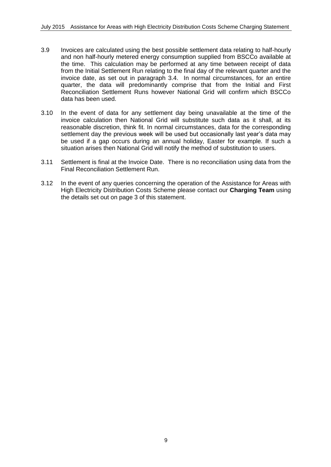- 3.9 Invoices are calculated using the best possible settlement data relating to half-hourly and non half-hourly metered energy consumption supplied from BSCCo available at the time. This calculation may be performed at any time between receipt of data from the Initial Settlement Run relating to the final day of the relevant quarter and the invoice date, as set out in paragraph 3.4. In normal circumstances, for an entire quarter, the data will predominantly comprise that from the Initial and First Reconciliation Settlement Runs however National Grid will confirm which BSCCo data has been used.
- 3.10 In the event of data for any settlement day being unavailable at the time of the invoice calculation then National Grid will substitute such data as it shall, at its reasonable discretion, think fit. In normal circumstances, data for the corresponding settlement day the previous week will be used but occasionally last year's data may be used if a gap occurs during an annual holiday, Easter for example. If such a situation arises then National Grid will notify the method of substitution to users.
- 3.11 Settlement is final at the Invoice Date. There is no reconciliation using data from the Final Reconciliation Settlement Run.
- 3.12 In the event of any queries concerning the operation of the Assistance for Areas with High Electricity Distribution Costs Scheme please contact our **Charging Team** using the details set out on page 3 of this statement.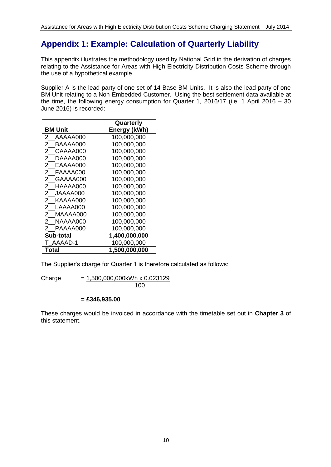# **Appendix 1: Example: Calculation of Quarterly Liability**

This appendix illustrates the methodology used by National Grid in the derivation of charges relating to the Assistance for Areas with High Electricity Distribution Costs Scheme through the use of a hypothetical example.

Supplier A is the lead party of one set of 14 Base BM Units. It is also the lead party of one BM Unit relating to a Non-Embedded Customer. Using the best settlement data available at the time, the following energy consumption for Quarter 1, 2016/17 (i.e. 1 April 2016 – 30 June 2016) is recorded:

|                            | Quarterly     |
|----------------------------|---------------|
| <b>BM Unit</b>             | Energy (kWh)  |
| 2<br>AAAAA000              | 100.000.000   |
| $^{2}$<br>BAAAA000         | 100.000.000   |
| $\overline{2}$<br>CAAAA000 | 100,000,000   |
| $2^-$<br>DAAAA000          | 100.000.000   |
| 2<br>EAAAA000              | 100,000,000   |
| 2<br>FAAAA000              | 100,000,000   |
| $2^{\circ}$<br>GAAAA000    | 100,000,000   |
| $^{2}$<br>HAAAA000         | 100,000,000   |
| $^{2}$<br>JAAAA000         | 100,000,000   |
| $\mathbf{2}^-$<br>KAAAA000 | 100,000,000   |
| 2<br>LAAAA000              | 100,000,000   |
| $\mathbf{2}$<br>MAAAA000   | 100,000,000   |
| $^{2}$<br>NAAAA000         | 100.000.000   |
| PAAAA000<br>2              | 100,000,000   |
| Sub-total                  | 1,400,000,000 |
| AAAAD-1                    | 100,000,000   |
| Total                      | 1,500,000,000 |

The Supplier's charge for Quarter 1 is therefore calculated as follows:

 $Change = 1,500,000,000kWh \times 0.023129$ 100

#### **= £346,935.00**

These charges would be invoiced in accordance with the timetable set out in **Chapter 3** of this statement.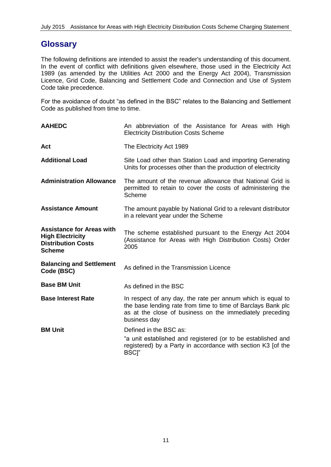### **Glossary**

The following definitions are intended to assist the reader's understanding of this document. In the event of conflict with definitions given elsewhere, those used in the Electricity Act 1989 (as amended by the Utilities Act 2000 and the Energy Act 2004), Transmission Licence, Grid Code, Balancing and Settlement Code and Connection and Use of System Code take precedence.

For the avoidance of doubt "as defined in the BSC" relates to the Balancing and Settlement Code as published from time to time.

| <b>AAHEDC</b>                                                                                             | An abbreviation of the Assistance for Areas with High<br><b>Electricity Distribution Costs Scheme</b>                                                                                                   |  |
|-----------------------------------------------------------------------------------------------------------|---------------------------------------------------------------------------------------------------------------------------------------------------------------------------------------------------------|--|
| Act                                                                                                       | The Electricity Act 1989                                                                                                                                                                                |  |
| <b>Additional Load</b>                                                                                    | Site Load other than Station Load and importing Generating<br>Units for processes other than the production of electricity                                                                              |  |
| <b>Administration Allowance</b>                                                                           | The amount of the revenue allowance that National Grid is<br>permitted to retain to cover the costs of administering the<br>Scheme                                                                      |  |
| <b>Assistance Amount</b>                                                                                  | The amount payable by National Grid to a relevant distributor<br>in a relevant year under the Scheme                                                                                                    |  |
| <b>Assistance for Areas with</b><br><b>High Electricity</b><br><b>Distribution Costs</b><br><b>Scheme</b> | The scheme established pursuant to the Energy Act 2004<br>(Assistance for Areas with High Distribution Costs) Order<br>2005                                                                             |  |
| <b>Balancing and Settlement</b><br>Code (BSC)                                                             | As defined in the Transmission Licence                                                                                                                                                                  |  |
| <b>Base BM Unit</b>                                                                                       | As defined in the BSC                                                                                                                                                                                   |  |
| <b>Base Interest Rate</b>                                                                                 | In respect of any day, the rate per annum which is equal to<br>the base lending rate from time to time of Barclays Bank plc<br>as at the close of business on the immediately preceding<br>business day |  |
| <b>BM Unit</b>                                                                                            | Defined in the BSC as:                                                                                                                                                                                  |  |
|                                                                                                           | "a unit established and registered (or to be established and<br>registered) by a Party in accordance with section K3 [of the<br><b>BSCI"</b>                                                            |  |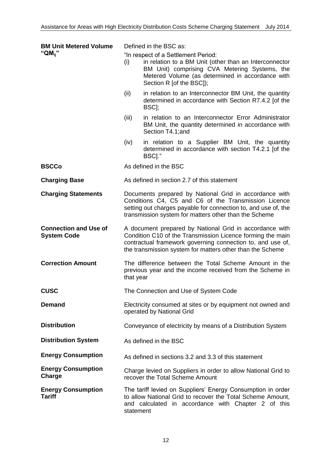| <b>BM Unit Metered Volume</b>                      | Defined in the BSC as:                                                                                                                                                                                                                           |                                                                                                                                                                                                                                |  |
|----------------------------------------------------|--------------------------------------------------------------------------------------------------------------------------------------------------------------------------------------------------------------------------------------------------|--------------------------------------------------------------------------------------------------------------------------------------------------------------------------------------------------------------------------------|--|
| " $QM_{ii}$ "                                      | (i)                                                                                                                                                                                                                                              | "In respect of a Settlement Period:<br>in relation to a BM Unit (other than an Interconnector<br>BM Unit) comprising CVA Metering Systems, the<br>Metered Volume (as determined in accordance with<br>Section R [of the BSC]); |  |
|                                                    | (ii)                                                                                                                                                                                                                                             | in relation to an Interconnector BM Unit, the quantity<br>determined in accordance with Section R7.4.2 [of the<br>BSC];                                                                                                        |  |
|                                                    | (iii)                                                                                                                                                                                                                                            | in relation to an Interconnector Error Administrator<br>BM Unit, the quantity determined in accordance with<br>Section T4.1; and                                                                                               |  |
|                                                    | (iv)                                                                                                                                                                                                                                             | in relation to a Supplier BM Unit, the quantity<br>determined in accordance with section T4.2.1 [of the<br>BSC]."                                                                                                              |  |
| <b>BSCCo</b>                                       |                                                                                                                                                                                                                                                  | As defined in the BSC                                                                                                                                                                                                          |  |
| <b>Charging Base</b>                               |                                                                                                                                                                                                                                                  | As defined in section 2.7 of this statement                                                                                                                                                                                    |  |
| <b>Charging Statements</b>                         | Documents prepared by National Grid in accordance with<br>Conditions C4, C5 and C6 of the Transmission Licence<br>setting out charges payable for connection to, and use of, the<br>transmission system for matters other than the Scheme        |                                                                                                                                                                                                                                |  |
| <b>Connection and Use of</b><br><b>System Code</b> | A document prepared by National Grid in accordance with<br>Condition C10 of the Transmission Licence forming the main<br>contractual framework governing connection to, and use of,<br>the transmission system for matters other than the Scheme |                                                                                                                                                                                                                                |  |
| <b>Correction Amount</b>                           | The difference between the Total Scheme Amount in the<br>previous year and the income received from the Scheme in<br>that year                                                                                                                   |                                                                                                                                                                                                                                |  |
| <b>CUSC</b>                                        | The Connection and Use of System Code                                                                                                                                                                                                            |                                                                                                                                                                                                                                |  |
| <b>Demand</b>                                      | Electricity consumed at sites or by equipment not owned and<br>operated by National Grid                                                                                                                                                         |                                                                                                                                                                                                                                |  |
| <b>Distribution</b>                                | Conveyance of electricity by means of a Distribution System                                                                                                                                                                                      |                                                                                                                                                                                                                                |  |
| <b>Distribution System</b>                         | As defined in the BSC                                                                                                                                                                                                                            |                                                                                                                                                                                                                                |  |
| <b>Energy Consumption</b>                          | As defined in sections 3.2 and 3.3 of this statement                                                                                                                                                                                             |                                                                                                                                                                                                                                |  |
| <b>Energy Consumption</b><br>Charge                | Charge levied on Suppliers in order to allow National Grid to<br>recover the Total Scheme Amount                                                                                                                                                 |                                                                                                                                                                                                                                |  |
| <b>Energy Consumption</b><br><b>Tariff</b>         | statement                                                                                                                                                                                                                                        | The tariff levied on Suppliers' Energy Consumption in order<br>to allow National Grid to recover the Total Scheme Amount,<br>and calculated in accordance with Chapter 2 of this                                               |  |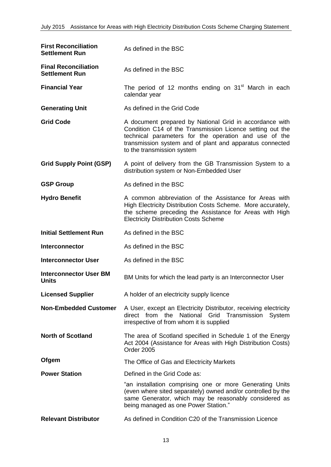| <b>First Reconciliation</b><br><b>Settlement Run</b> | As defined in the BSC                                                                                                                                                                                                                                                   |
|------------------------------------------------------|-------------------------------------------------------------------------------------------------------------------------------------------------------------------------------------------------------------------------------------------------------------------------|
| <b>Final Reconciliation</b><br><b>Settlement Run</b> | As defined in the BSC                                                                                                                                                                                                                                                   |
| <b>Financial Year</b>                                | The period of 12 months ending on 31 <sup>st</sup> March in each<br>calendar year                                                                                                                                                                                       |
| <b>Generating Unit</b>                               | As defined in the Grid Code                                                                                                                                                                                                                                             |
| <b>Grid Code</b>                                     | A document prepared by National Grid in accordance with<br>Condition C14 of the Transmission Licence setting out the<br>technical parameters for the operation and use of the<br>transmission system and of plant and apparatus connected<br>to the transmission system |
| <b>Grid Supply Point (GSP)</b>                       | A point of delivery from the GB Transmission System to a<br>distribution system or Non-Embedded User                                                                                                                                                                    |
| <b>GSP Group</b>                                     | As defined in the BSC                                                                                                                                                                                                                                                   |
| <b>Hydro Benefit</b>                                 | A common abbreviation of the Assistance for Areas with<br>High Electricity Distribution Costs Scheme. More accurately,<br>the scheme preceding the Assistance for Areas with High<br><b>Electricity Distribution Costs Scheme</b>                                       |
| <b>Initial Settlement Run</b>                        | As defined in the BSC                                                                                                                                                                                                                                                   |
| Interconnector                                       | As defined in the BSC                                                                                                                                                                                                                                                   |
| <b>Interconnector User</b>                           | As defined in the BSC                                                                                                                                                                                                                                                   |
| <b>Interconnector User BM</b><br><b>Units</b>        | BM Units for which the lead party is an Interconnector User                                                                                                                                                                                                             |
| <b>Licensed Supplier</b>                             | A holder of an electricity supply licence                                                                                                                                                                                                                               |
| <b>Non-Embedded Customer</b>                         | A User, except an Electricity Distributor, receiving electricity<br>direct from the National Grid Transmission<br>System<br>irrespective of from whom it is supplied                                                                                                    |
| <b>North of Scotland</b>                             | The area of Scotland specified in Schedule 1 of the Energy<br>Act 2004 (Assistance for Areas with High Distribution Costs)<br><b>Order 2005</b>                                                                                                                         |
| Ofgem                                                | The Office of Gas and Electricity Markets                                                                                                                                                                                                                               |
| <b>Power Station</b>                                 | Defined in the Grid Code as:                                                                                                                                                                                                                                            |
|                                                      | "an installation comprising one or more Generating Units<br>(even where sited separately) owned and/or controlled by the<br>same Generator, which may be reasonably considered as<br>being managed as one Power Station."                                               |
| <b>Relevant Distributor</b>                          | As defined in Condition C20 of the Transmission Licence                                                                                                                                                                                                                 |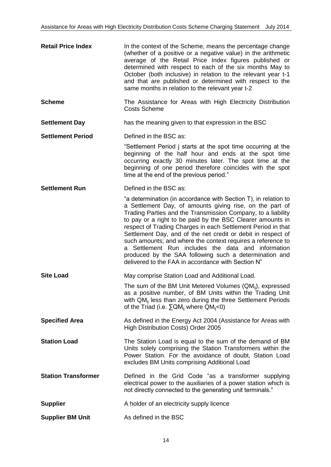| <b>Retail Price Index</b>  | In the context of the Scheme, means the percentage change<br>(whether of a positive or a negative value) in the arithmetic<br>average of the Retail Price Index figures published or<br>determined with respect to each of the six months May to<br>October (both inclusive) in relation to the relevant year t-1<br>and that are published or determined with respect to the<br>same months in relation to the relevant year t-2                                                                                                                                                                                              |
|----------------------------|--------------------------------------------------------------------------------------------------------------------------------------------------------------------------------------------------------------------------------------------------------------------------------------------------------------------------------------------------------------------------------------------------------------------------------------------------------------------------------------------------------------------------------------------------------------------------------------------------------------------------------|
| <b>Scheme</b>              | The Assistance for Areas with High Electricity Distribution<br><b>Costs Scheme</b>                                                                                                                                                                                                                                                                                                                                                                                                                                                                                                                                             |
| <b>Settlement Day</b>      | has the meaning given to that expression in the BSC                                                                                                                                                                                                                                                                                                                                                                                                                                                                                                                                                                            |
| <b>Settlement Period</b>   | Defined in the BSC as:                                                                                                                                                                                                                                                                                                                                                                                                                                                                                                                                                                                                         |
|                            | "Settlement Period j starts at the spot time occurring at the<br>beginning of the half hour and ends at the spot time<br>occurring exactly 30 minutes later. The spot time at the<br>beginning of one period therefore coincides with the spot<br>time at the end of the previous period."                                                                                                                                                                                                                                                                                                                                     |
| <b>Settlement Run</b>      | Defined in the BSC as:                                                                                                                                                                                                                                                                                                                                                                                                                                                                                                                                                                                                         |
|                            | "a determination (in accordance with Section T), in relation to<br>a Settlement Day, of amounts giving rise, on the part of<br>Trading Parties and the Transmission Company, to a liability<br>to pay or a right to be paid by the BSC Clearer amounts in<br>respect of Trading Charges in each Settlement Period in that<br>Settlement Day, and of the net credit or debit in respect of<br>such amounts; and where the context requires a reference to<br>a Settlement Run includes the data and information<br>produced by the SAA following such a determination and<br>delivered to the FAA in accordance with Section N" |
| <b>Site Load</b>           | May comprise Station Load and Additional Load.                                                                                                                                                                                                                                                                                                                                                                                                                                                                                                                                                                                 |
|                            | The sum of the BM Unit Metered Volumes $(QM_{ii})$ , expressed<br>as a positive number, of BM Units within the Trading Unit<br>with QM <sub>ii</sub> less than zero during the three Settlement Periods<br>of the Triad (i.e. $\sum QM_{ii}$ where $QM_{ii} < 0$ )                                                                                                                                                                                                                                                                                                                                                             |
| <b>Specified Area</b>      | As defined in the Energy Act 2004 (Assistance for Areas with<br>High Distribution Costs) Order 2005                                                                                                                                                                                                                                                                                                                                                                                                                                                                                                                            |
| <b>Station Load</b>        | The Station Load is equal to the sum of the demand of BM<br>Units solely comprising the Station Transformers within the<br>Power Station. For the avoidance of doubt, Station Load<br>excludes BM Units comprising Additional Load                                                                                                                                                                                                                                                                                                                                                                                             |
| <b>Station Transformer</b> | Defined in the Grid Code "as a transformer supplying<br>electrical power to the auxiliaries of a power station which is<br>not directly connected to the generating unit terminals."                                                                                                                                                                                                                                                                                                                                                                                                                                           |
| <b>Supplier</b>            | A holder of an electricity supply licence                                                                                                                                                                                                                                                                                                                                                                                                                                                                                                                                                                                      |
| <b>Supplier BM Unit</b>    | As defined in the BSC                                                                                                                                                                                                                                                                                                                                                                                                                                                                                                                                                                                                          |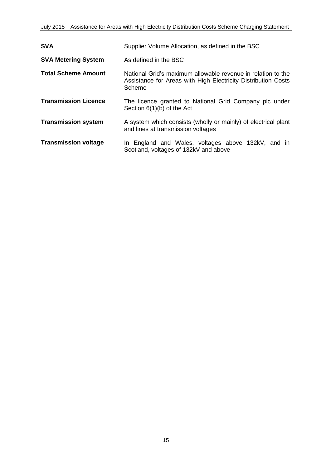| <b>SVA</b>                  | Supplier Volume Allocation, as defined in the BSC                                                                                       |  |
|-----------------------------|-----------------------------------------------------------------------------------------------------------------------------------------|--|
| <b>SVA Metering System</b>  | As defined in the BSC                                                                                                                   |  |
| <b>Total Scheme Amount</b>  | National Grid's maximum allowable revenue in relation to the<br>Assistance for Areas with High Electricity Distribution Costs<br>Scheme |  |
| <b>Transmission Licence</b> | The licence granted to National Grid Company plc under<br>Section $6(1)(b)$ of the Act                                                  |  |
| <b>Transmission system</b>  | A system which consists (wholly or mainly) of electrical plant<br>and lines at transmission voltages                                    |  |
| <b>Transmission voltage</b> | In England and Wales, voltages above 132kV, and in<br>Scotland, voltages of 132kV and above                                             |  |